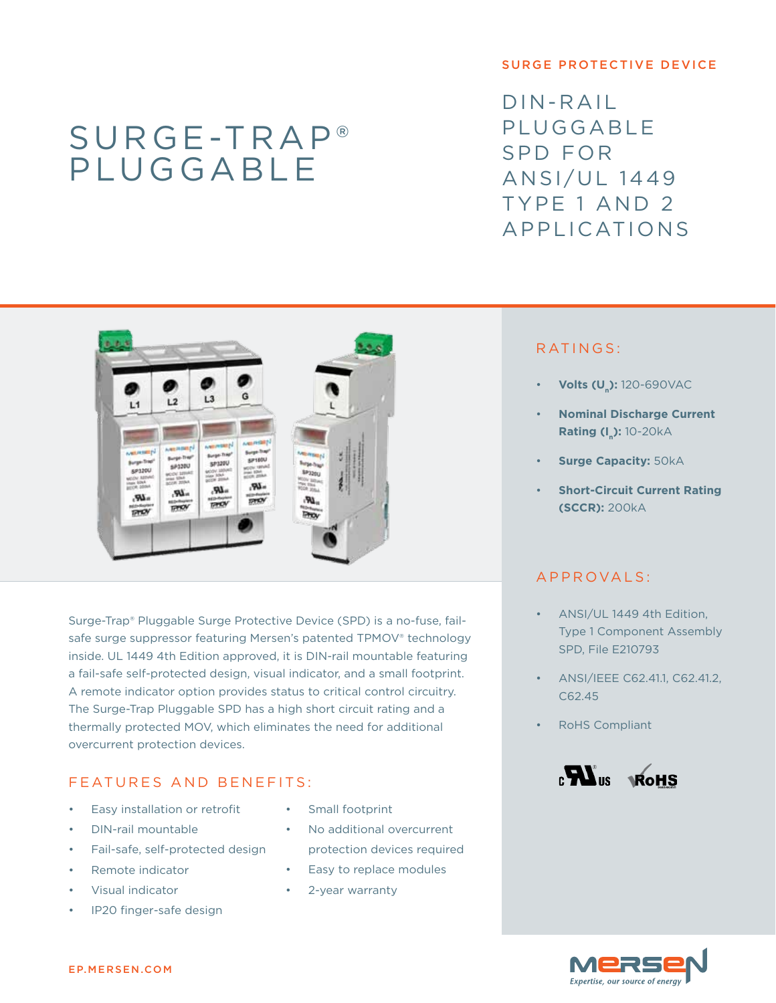# Surge-Trap® pluggable

#### surge protective device

 $DIN-RAIL$ **PLUGGABLE** SPD for ANSI/UL 1449 Type 1 and 2 Applications



Surge-Trap® Pluggable Surge Protective Device (SPD) is a no-fuse, failsafe surge suppressor featuring Mersen's patented TPMOV® technology inside. UL 1449 4th Edition approved, it is DIN-rail mountable featuring a fail-safe self-protected design, visual indicator, and a small footprint. A remote indicator option provides status to critical control circuitry. The Surge-Trap Pluggable SPD has a high short circuit rating and a thermally protected MOV, which eliminates the need for additional overcurrent protection devices.

#### F EATURES AND BENEFITS:

- Easy installation or retrofit
- DIN-rail mountable
- Fail-safe, self-protected design
- Remote indicator
- Visual indicator
- IP20 finger-safe design
- Small footprint
- No additional overcurrent protection devices required
- Easy to replace modules
- 2-year warranty

#### RATINGS:

- **Volts (U<sub>n</sub>):** 120-690VAC
- **Nominal Discharge Current Rating (I\_): 10-20kA**
- **Surge Capacity: 50kA**
- **Short-Circuit Current Rating (SCCR):** 200kA

### app r ovals :

- ANSI/UL 1449 4th Edition, Type 1 Component Assembly SPD, File E210793
- ANSI/IEEE C62.41.1, C62.41.2, C62.45
- **RoHS Compliant**



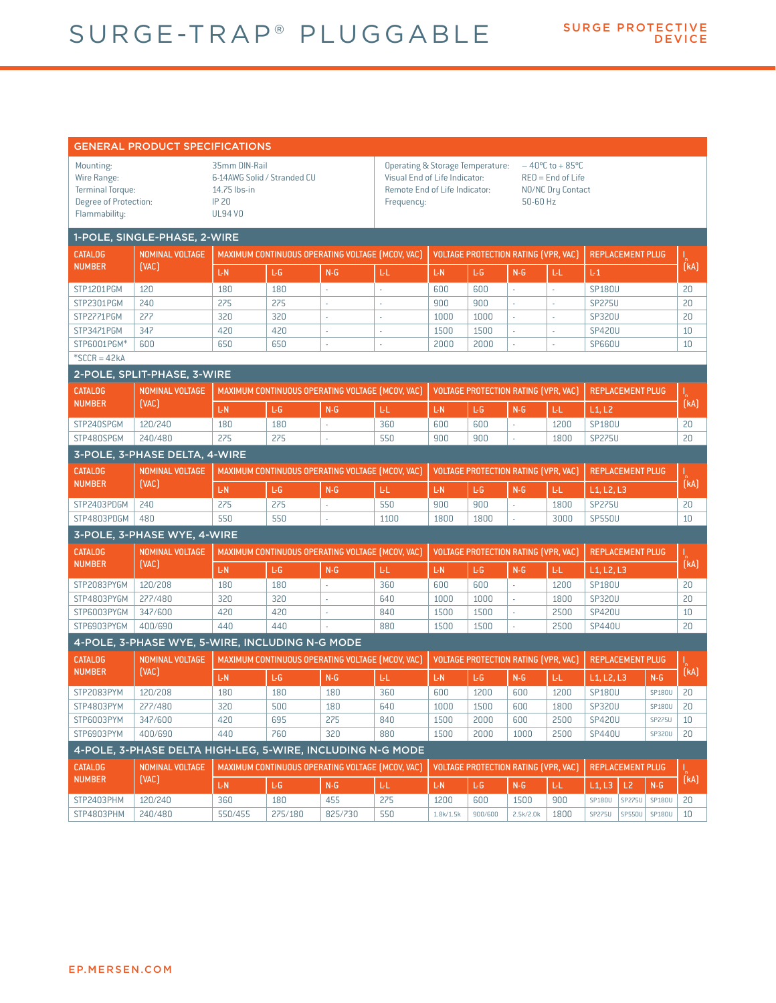## SURGE-TRAP® PLUGGABLE

|                                                                                               | <b>GENERAL PRODUCT SPECIFICATIONS</b>           |                                                                                                                            |            |                             |                                                                                                                                                                                                                  |                                             |         |                                             |      |                          |               |           |  |  |  |  |
|-----------------------------------------------------------------------------------------------|-------------------------------------------------|----------------------------------------------------------------------------------------------------------------------------|------------|-----------------------------|------------------------------------------------------------------------------------------------------------------------------------------------------------------------------------------------------------------|---------------------------------------------|---------|---------------------------------------------|------|--------------------------|---------------|-----------|--|--|--|--|
| Mounting:<br>Wire Range:<br><b>Terminal Torque:</b><br>Degree of Protection:<br>Flammability: |                                                 | 35mm DIN-Rail<br>6-14AWG Solid / Stranded CU<br>14.75 lbs-in<br><b>IP 20</b><br><b>UL94 VO</b>                             |            |                             | <b>Operating &amp; Storage Temperature:</b><br>$-40^{\circ}$ C to + 85°C<br>Visual End of Life Indicator:<br>$RED = End of Life$<br>Remote End of Life Indicator:<br>NO/NC Dry Contact<br>50-60 Hz<br>Frequency: |                                             |         |                                             |      |                          |               |           |  |  |  |  |
| 1-POLE, SINGLE-PHASE, 2-WIRE                                                                  |                                                 |                                                                                                                            |            |                             |                                                                                                                                                                                                                  |                                             |         |                                             |      |                          |               |           |  |  |  |  |
| <b>CATALOG</b><br><b>NUMBER</b>                                                               | <b>NOMINAL VOLTAGE</b><br>[VAC]                 | MAXIMUM CONTINUOUS OPERATING VOLTAGE (MCOV, VAC)                                                                           |            |                             |                                                                                                                                                                                                                  | <b>VOLTAGE PROTECTION RATING (VPR, VAC)</b> |         |                                             |      | <b>REPLACEMENT PLUG</b>  |               | I<br>(KA) |  |  |  |  |
|                                                                                               |                                                 | L-N                                                                                                                        | L-G        | $N-G$                       | LL.                                                                                                                                                                                                              | L-N                                         | ĿG      | $N-G$                                       | L-L  | L <sub>1</sub>           |               |           |  |  |  |  |
| STP1201PGM                                                                                    | 120                                             | 180                                                                                                                        | 180        | ÷.                          | ä,                                                                                                                                                                                                               | 600                                         | 600     | ÷.                                          | ÷.   | <b>SP180U</b>            |               | 20        |  |  |  |  |
| STP2301PGM                                                                                    | 240                                             | 275                                                                                                                        | 275        | ÷,                          | ÷                                                                                                                                                                                                                | 900                                         | 900     | ÷,                                          | ÷    | <b>SP275U</b>            |               | 20        |  |  |  |  |
| STP2771PGM                                                                                    | 277                                             | 320                                                                                                                        | 320        | J.                          |                                                                                                                                                                                                                  | 1000                                        | 1000    | ×,                                          |      | <b>SP320U</b>            |               | 20        |  |  |  |  |
| STP3471PGM                                                                                    | 347                                             | 420                                                                                                                        | 420        | ÷,                          | $\overline{\phantom{a}}$                                                                                                                                                                                         | 1500                                        | 1500    | ×,                                          | ×.   | <b>SP420U</b>            |               | 10        |  |  |  |  |
| STP6001PGM*                                                                                   | 600                                             | 650                                                                                                                        | 650        | ÷,                          |                                                                                                                                                                                                                  | 2000                                        | 2000    | ÷,                                          |      | <b>SP660U</b>            |               | 10        |  |  |  |  |
| $*SCCR = 42kA$                                                                                |                                                 |                                                                                                                            |            |                             |                                                                                                                                                                                                                  |                                             |         |                                             |      |                          |               |           |  |  |  |  |
|                                                                                               | 2-POLE, SPLIT-PHASE, 3-WIRE                     |                                                                                                                            |            |                             |                                                                                                                                                                                                                  |                                             |         |                                             |      |                          |               |           |  |  |  |  |
| <b>CATALOG</b><br><b>NUMBER</b>                                                               | <b>NOMINAL VOLTAGE</b><br>(VAC)                 | MAXIMUM CONTINUOUS OPERATING VOLTAGE (MCOV, VAC)                                                                           |            |                             |                                                                                                                                                                                                                  |                                             |         | <b>VOLTAGE PROTECTION RATING (VPR, VAC)</b> |      | <b>REPLACEMENT PLUG</b>  |               | l<br>(kA) |  |  |  |  |
|                                                                                               |                                                 | L-N                                                                                                                        | L-G        | $N-G$                       | LL.                                                                                                                                                                                                              | L-N                                         | L-G     | $N-G$                                       | L-L  | L1, L2                   |               |           |  |  |  |  |
| STP240SPGM                                                                                    | 120/240                                         | 180                                                                                                                        | 180        | $\mathcal{L}_{\mathcal{A}}$ | 360                                                                                                                                                                                                              | 600                                         | 600     | ä,                                          | 1200 | <b>SP180U</b>            |               | 20        |  |  |  |  |
| STP480SPGM                                                                                    | 240/480                                         | 275                                                                                                                        | 275        | ×,                          | 550                                                                                                                                                                                                              | 900                                         | 900     | ÷                                           | 1800 | <b>SP275U</b>            |               | 20        |  |  |  |  |
|                                                                                               | 3-POLE, 3-PHASE DELTA, 4-WIRE                   |                                                                                                                            |            |                             |                                                                                                                                                                                                                  |                                             |         |                                             |      |                          |               |           |  |  |  |  |
| <b>CATALOG</b>                                                                                | <b>NOMINAL VOLTAGE</b><br>(VAC)                 | <b>VOLTAGE PROTECTION RATING (VPR, VAC)</b><br><b>REPLACEMENT PLUG</b><br>MAXIMUM CONTINUOUS OPERATING VOLTAGE (MCOV, VAC) |            |                             |                                                                                                                                                                                                                  |                                             |         |                                             |      |                          |               |           |  |  |  |  |
| <b>NUMBER</b>                                                                                 |                                                 | L-N                                                                                                                        | L-G        | $N-G$                       | LL.                                                                                                                                                                                                              | L-N                                         | L-G     | $N-G$                                       | LL.  | L1, L2, L3               |               | I<br>(kA) |  |  |  |  |
| STP2403PDGM                                                                                   | 240                                             | 275                                                                                                                        | 275        | ÷.                          | 550                                                                                                                                                                                                              | 900                                         | 900     | ä,                                          | 1800 | <b>SP275U</b>            |               | 20        |  |  |  |  |
| STP4803PDGM                                                                                   | 480                                             | 550                                                                                                                        | 550        |                             | 1100                                                                                                                                                                                                             | 1800                                        | 1800    | ×,                                          | 3000 | <b>SP550U</b>            |               | 10        |  |  |  |  |
| 3-POLE, 3-PHASE WYE, 4-WIRE                                                                   |                                                 |                                                                                                                            |            |                             |                                                                                                                                                                                                                  |                                             |         |                                             |      |                          |               |           |  |  |  |  |
| <b>CATALOG</b>                                                                                | <b>NOMINAL VOLTAGE</b><br>(VAC)                 | MAXIMUM CONTINUOUS OPERATING VOLTAGE [MCOV, VAC]                                                                           |            |                             |                                                                                                                                                                                                                  | VOLTAGE PROTECTION RATING (VPR, VAC)        |         |                                             |      | <b>REPLACEMENT PLUG</b>  |               |           |  |  |  |  |
| <b>NUMBER</b>                                                                                 |                                                 |                                                                                                                            |            |                             |                                                                                                                                                                                                                  |                                             |         |                                             |      |                          |               | l<br>(kA) |  |  |  |  |
|                                                                                               |                                                 | L-N                                                                                                                        | L-G        | $N - G$                     | ЫL                                                                                                                                                                                                               | L-N                                         | L-G     | $N - G$                                     | LL.  | $L1, L2, L3$             |               |           |  |  |  |  |
| STP2083PYGM                                                                                   | 120/208                                         | 180                                                                                                                        | 180        | ä,                          | 360                                                                                                                                                                                                              | 600                                         | 600     | ä,                                          | 1200 | <b>SP180U</b>            |               | 20        |  |  |  |  |
| STP4803PYGM                                                                                   | 277/480                                         | 320                                                                                                                        | 320        | Ĭ.                          | 640                                                                                                                                                                                                              | 1000                                        | 1000    | ä,<br>ä,                                    | 1800 | <b>SP320U</b>            |               | 20        |  |  |  |  |
| STP6003PYGM                                                                                   | 347/600<br>400/690                              | 420<br>440                                                                                                                 | 420<br>440 | ÷,                          | 840                                                                                                                                                                                                              | 1500                                        | 1500    | ä,                                          | 2500 | <b>SP420U</b>            |               | 10<br>20  |  |  |  |  |
| STP6903PYGM                                                                                   |                                                 |                                                                                                                            |            |                             | 880                                                                                                                                                                                                              | 1500                                        | 1500    |                                             | 2500 | <b>SP440U</b>            |               |           |  |  |  |  |
|                                                                                               | 4-POLE, 3-PHASE WYE, 5-WIRE, INCLUDING N-G MODE |                                                                                                                            |            |                             |                                                                                                                                                                                                                  |                                             |         |                                             |      |                          |               |           |  |  |  |  |
| <b>CATALOG</b><br><b>NUMBER</b>                                                               | <b>NOMINAL VOLTAGE</b><br>(VAC)                 | MAXIMUM CONTINUOUS OPERATING VOLTAGE (MCOV, VAC)                                                                           |            |                             |                                                                                                                                                                                                                  | <b>VOLTAGE PROTECTION RATING (VPR, VAC)</b> |         |                                             |      | <b>REPLACEMENT PLUG</b>  |               | [kA]      |  |  |  |  |
|                                                                                               |                                                 | L-N                                                                                                                        | L-G        | $N-G$                       | ЪL.                                                                                                                                                                                                              | L-N                                         | LG.     | $N - G$                                     | LL.  | $L1, L2, L3$             | $N - G$       |           |  |  |  |  |
| STP2083PYM                                                                                    | 120/208                                         | 180                                                                                                                        | 180        | 180                         | 360                                                                                                                                                                                                              | 600                                         | 1200    | 600                                         | 1200 | <b>SP180U</b>            | SP180U        | 20        |  |  |  |  |
| STP4803PYM                                                                                    | 277/480                                         | 320                                                                                                                        | 500        | 180                         | 640                                                                                                                                                                                                              | 1000                                        | 1500    | 600                                         | 1800 | <b>SP320U</b>            | SP180U        | 20        |  |  |  |  |
| STP6003PYM                                                                                    | 347/600                                         | 420                                                                                                                        | 695        | 275                         | 840                                                                                                                                                                                                              | 1500                                        | 2000    | 600                                         | 2500 | <b>SP420U</b>            | <b>SP275U</b> | 10        |  |  |  |  |
| STP6903PYM                                                                                    | 400/690                                         | 440                                                                                                                        | 760        | 320                         | 880                                                                                                                                                                                                              | 1500                                        | 2000    | 1000                                        | 2500 | <b>SP440U</b>            | SP320U        | 20        |  |  |  |  |
| 4-POLE, 3-PHASE DELTA HIGH-LEG, 5-WIRE, INCLUDING N-G MODE                                    |                                                 |                                                                                                                            |            |                             |                                                                                                                                                                                                                  |                                             |         |                                             |      |                          |               |           |  |  |  |  |
| <b>CATALOG</b><br><b>NUMBER</b>                                                               | <b>NOMINAL VOLTAGE</b><br>(VAC)                 | MAXIMUM CONTINUOUS OPERATING VOLTAGE (MCOV, VAC)                                                                           |            |                             |                                                                                                                                                                                                                  | <b>VOLTAGE PROTECTION RATING (VPR, VAC)</b> |         |                                             |      | <b>REPLACEMENT PLUG</b>  |               |           |  |  |  |  |
|                                                                                               |                                                 | L-N                                                                                                                        | ĿG.        | $N-G$                       | LL.                                                                                                                                                                                                              | L-N                                         | ĿG.     | $N-G$                                       | Ы.   | L <sub>2</sub><br>L1, L3 | $N-G$         | .<br>(kA) |  |  |  |  |
| STP2403PHM                                                                                    | 120/240                                         | 360                                                                                                                        | 180        | 455                         | 275                                                                                                                                                                                                              | 1200                                        | 600     | 1500                                        | 900  | <b>SP275U</b><br>SP180U  | SP180U        | 20        |  |  |  |  |
| STP4803PHM                                                                                    | 240/480                                         | 550/455                                                                                                                    | 275/180    | 825/730                     | 550                                                                                                                                                                                                              | 1.8k/1.5k                                   | 900/600 | 2.5k/2.0k                                   | 1800 | <b>SP275U</b>            | SP550U SP180U | 10        |  |  |  |  |